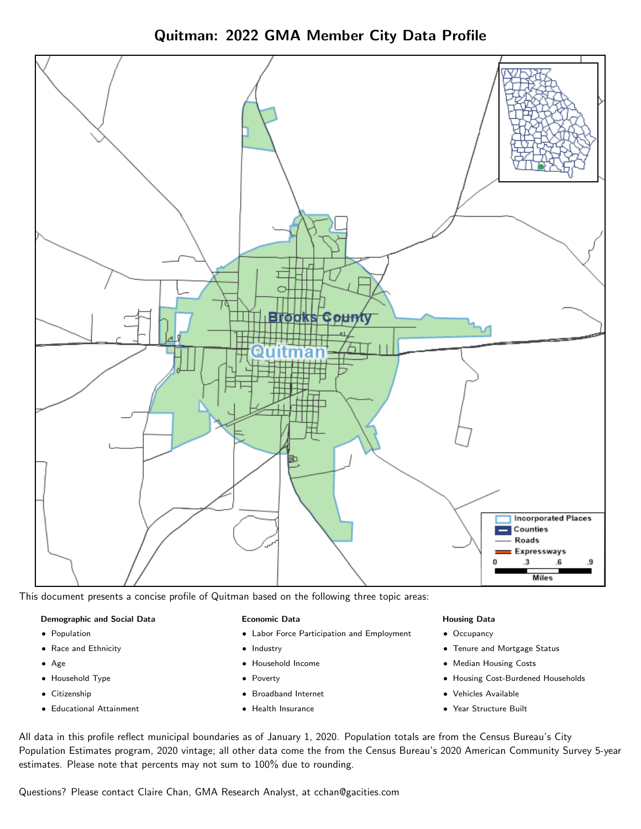Quitman: 2022 GMA Member City Data Profile



This document presents a concise profile of Quitman based on the following three topic areas:

## Demographic and Social Data

- **•** Population
- Race and Ethnicity
- Age
- Household Type
- **Citizenship**
- Educational Attainment

## Economic Data

- Labor Force Participation and Employment
- Industry
- Household Income
- Poverty
- Broadband Internet
- Health Insurance

## Housing Data

- Occupancy
- Tenure and Mortgage Status
- Median Housing Costs
- Housing Cost-Burdened Households
- Vehicles Available
- Year Structure Built

All data in this profile reflect municipal boundaries as of January 1, 2020. Population totals are from the Census Bureau's City Population Estimates program, 2020 vintage; all other data come the from the Census Bureau's 2020 American Community Survey 5-year estimates. Please note that percents may not sum to 100% due to rounding.

Questions? Please contact Claire Chan, GMA Research Analyst, at [cchan@gacities.com.](mailto:cchan@gacities.com)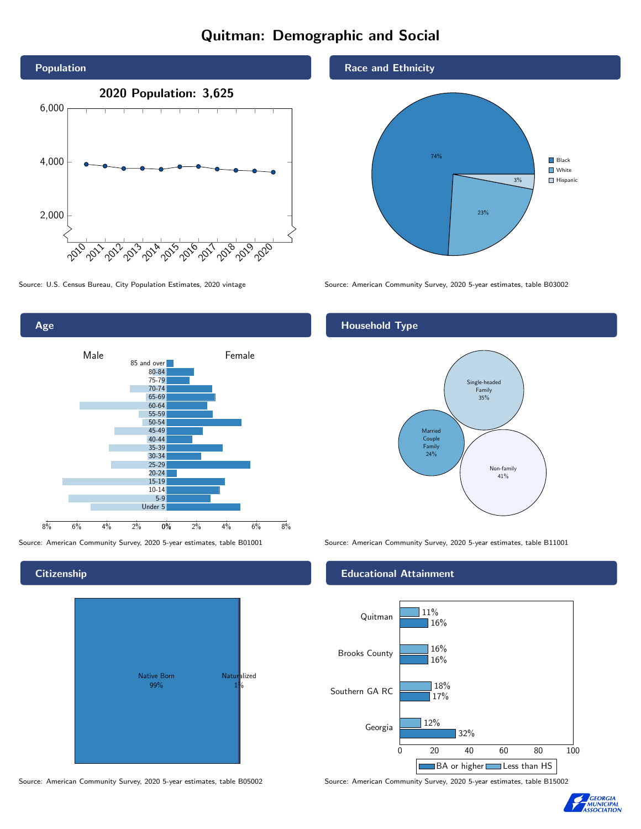# Quitman: Demographic and Social





**Citizenship** 



Source: American Community Survey, 2020 5-year estimates, table B05002 Source: American Community Survey, 2020 5-year estimates, table B15002



Source: U.S. Census Bureau, City Population Estimates, 2020 vintage Source: American Community Survey, 2020 5-year estimates, table B03002

## Household Type



Source: American Community Survey, 2020 5-year estimates, table B01001 Source: American Community Survey, 2020 5-year estimates, table B11001

## Educational Attainment



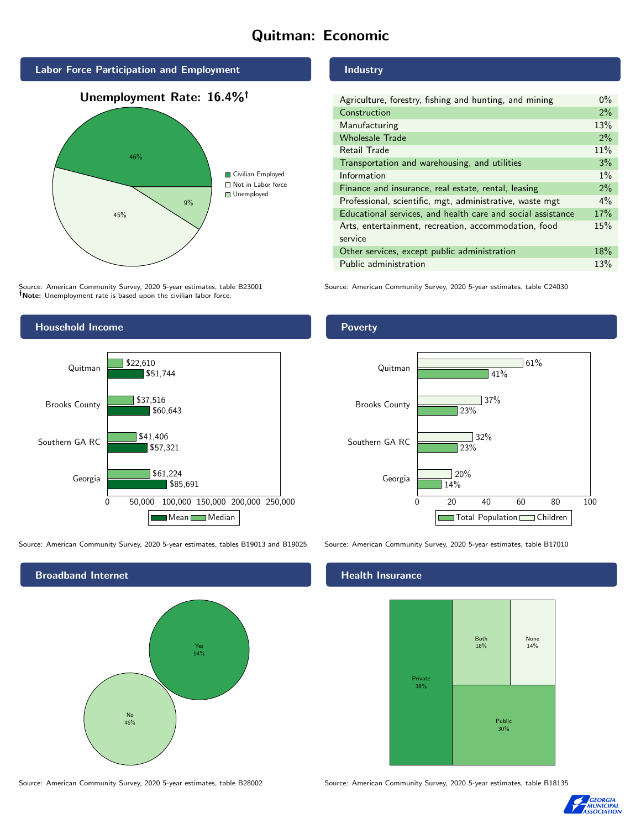# Quitman: Economic



# 45% 9% Civilian Employed ■ Not in Labor force Unemployed

Source: American Community Survey, 2020 5-year estimates, table B23001 Note: Unemployment rate is based upon the civilian labor force.



Source: American Community Survey, 2020 5-year estimates, tables B19013 and B19025 Source: American Community Survey, 2020 5-year estimates, table B17010

Broadband Internet No 46% Yes 54%

Source: American Community Survey, 2020 5-year estimates, table B28002 Source: American Community Survey, 2020 5-year estimates, table B18135

Industry

| Agriculture, forestry, fishing and hunting, and mining      | $0\%$ |
|-------------------------------------------------------------|-------|
| Construction                                                | 2%    |
| Manufacturing                                               | 13%   |
| <b>Wholesale Trade</b>                                      | 2%    |
| Retail Trade                                                | 11%   |
| Transportation and warehousing, and utilities               | 3%    |
| Information                                                 | $1\%$ |
| Finance and insurance, real estate, rental, leasing         | 2%    |
| Professional, scientific, mgt, administrative, waste mgt    | $4\%$ |
| Educational services, and health care and social assistance | 17%   |
| Arts, entertainment, recreation, accommodation, food        | 15%   |
| service                                                     |       |
| Other services, except public administration                | 18%   |
| Public administration                                       | 13%   |

Source: American Community Survey, 2020 5-year estimates, table C24030

Poverty



## Health Insurance